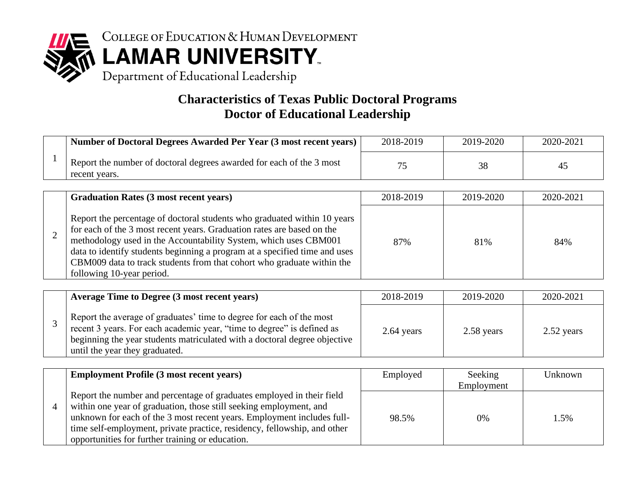

#### **Characteristics of Texas Public Doctoral Programs Doctor of Educational Leadership**

| Number of Doctoral Degrees Awarded Per Year (3 most recent years)                     | 2018-2019 | 2019-2020 | 2020-2021 |
|---------------------------------------------------------------------------------------|-----------|-----------|-----------|
| Report the number of doctoral degrees awarded for each of the 3 most<br>recent years. |           | 38        | 45        |

| <b>Graduation Rates (3 most recent years)</b>                                                                                                                                                                                                                                                                                                                                                               | 2018-2019 | 2019-2020 | 2020-2021 |
|-------------------------------------------------------------------------------------------------------------------------------------------------------------------------------------------------------------------------------------------------------------------------------------------------------------------------------------------------------------------------------------------------------------|-----------|-----------|-----------|
| Report the percentage of doctoral students who graduated within 10 years<br>for each of the 3 most recent years. Graduation rates are based on the<br>methodology used in the Accountability System, which uses CBM001<br>data to identify students beginning a program at a specified time and uses<br>CBM009 data to track students from that cohort who graduate within the<br>following 10-year period. | 87%       | 81%       | 84%       |

| <b>Average Time to Degree (3 most recent years)</b>                                                                                                                                                                                                           | 2018-2019  | 2019-2020  | 2020-2021  |
|---------------------------------------------------------------------------------------------------------------------------------------------------------------------------------------------------------------------------------------------------------------|------------|------------|------------|
| Report the average of graduates' time to degree for each of the most<br>recent 3 years. For each academic year, "time to degree" is defined as<br>beginning the year students matriculated with a doctoral degree objective<br>until the year they graduated. | 2.64 years | 2.58 years | 2.52 years |

| <b>Employment Profile (3 most recent years)</b>                                                                                                                                                                                                                                                                                                       | Employed | Seeking<br>Employment | Unknown |
|-------------------------------------------------------------------------------------------------------------------------------------------------------------------------------------------------------------------------------------------------------------------------------------------------------------------------------------------------------|----------|-----------------------|---------|
| Report the number and percentage of graduates employed in their field<br>within one year of graduation, those still seeking employment, and<br>unknown for each of the 3 most recent years. Employment includes full-<br>time self-employment, private practice, residency, fellowship, and other<br>opportunities for further training or education. | 98.5%    | 0%                    | 1.5%    |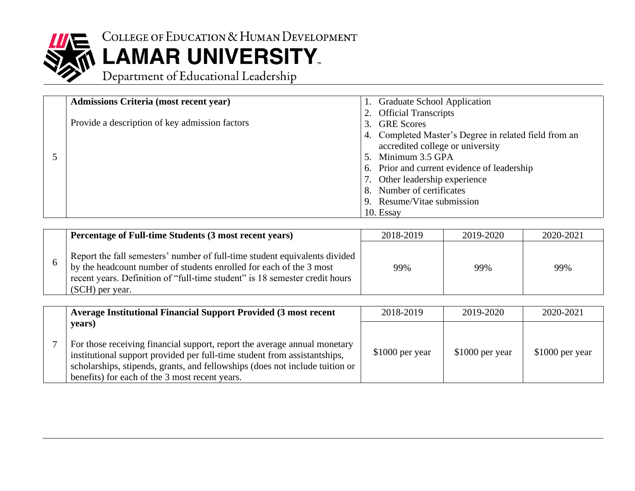

# COLLEGE OF EDUCATION & HUMAN DEVELOPMENT<br>
LAMAR UNIVERSITY<br>
Department of Educational Leadership

| <b>Admissions Criteria (most recent year)</b>  | 1. Graduate School Application                        |
|------------------------------------------------|-------------------------------------------------------|
|                                                | 2. Official Transcripts                               |
| Provide a description of key admission factors | 3. GRE Scores                                         |
|                                                | 4. Completed Master's Degree in related field from an |
|                                                | accredited college or university                      |
|                                                | 5. Minimum 3.5 GPA                                    |
|                                                | 6. Prior and current evidence of leadership           |
|                                                | 7. Other leadership experience                        |
|                                                | 8. Number of certificates                             |
|                                                | 9. Resume/Vitae submission                            |
|                                                | 10. Essay                                             |

| Percentage of Full-time Students (3 most recent years)                                                                                                                                                                                              | 2018-2019 | 2019-2020 | 2020-2021 |
|-----------------------------------------------------------------------------------------------------------------------------------------------------------------------------------------------------------------------------------------------------|-----------|-----------|-----------|
| Report the fall semesters' number of full-time student equivalents divided<br>by the headcount number of students enrolled for each of the 3 most<br>recent years. Definition of "full-time student" is 18 semester credit hours<br>(SCH) per year. | 99%       | 99%       | 99%       |

| <b>Average Institutional Financial Support Provided (3 most recent</b>                                                                                                                                                                                                                             | 2018-2019       | 2019-2020        | 2020-2021       |
|----------------------------------------------------------------------------------------------------------------------------------------------------------------------------------------------------------------------------------------------------------------------------------------------------|-----------------|------------------|-----------------|
| years)<br>For those receiving financial support, report the average annual monetary<br>institutional support provided per full-time student from assistantships,<br>scholarships, stipends, grants, and fellowships (does not include tuition or<br>benefits) for each of the 3 most recent years. | \$1000 per year | $$1000$ per year | \$1000 per year |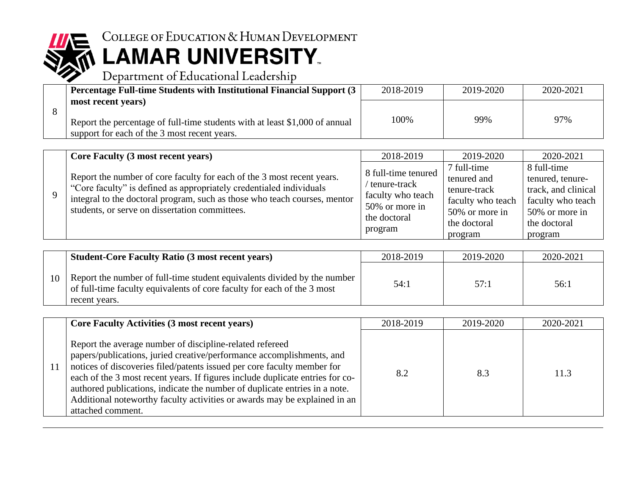

### COLLEGE OF EDUCATION & HUMAN DEVELOPMENT

## **LAMAR UNIVERSITY**.<br>Department of Educational Leadership

| <b>Percentage Full-time Students with Institutional Financial Support (3)</b>                                                                     | 2018-2019 | 2019-2020 | 2020-2021 |
|---------------------------------------------------------------------------------------------------------------------------------------------------|-----------|-----------|-----------|
| most recent years)<br>Report the percentage of full-time students with at least \$1,000 of annual<br>support for each of the 3 most recent years. | 100%      | 99%       | 97%       |

| <b>Core Faculty (3 most recent years)</b>                                                                                                                                                                                                                                    | 2018-2019                                                                                             | 2019-2020                                                                                                    | 2020-2021                                                                                                                |
|------------------------------------------------------------------------------------------------------------------------------------------------------------------------------------------------------------------------------------------------------------------------------|-------------------------------------------------------------------------------------------------------|--------------------------------------------------------------------------------------------------------------|--------------------------------------------------------------------------------------------------------------------------|
| Report the number of core faculty for each of the 3 most recent years.<br>"Core faculty" is defined as appropriately credentialed individuals<br>integral to the doctoral program, such as those who teach courses, mentor<br>students, or serve on dissertation committees. | 8 full-time tenured<br>tenure-track<br>faculty who teach<br>50% or more in<br>the doctoral<br>program | 7 full-time<br>tenured and<br>tenure-track<br>faculty who teach<br>50% or more in<br>the doctoral<br>program | 8 full-time<br>tenured, tenure-<br>track, and clinical<br>faculty who teach<br>50% or more in<br>the doctoral<br>program |

|    | <b>Student-Core Faculty Ratio (3 most recent years)</b>                                                                                                              | 2018-2019 | 2019-2020 | 2020-2021 |
|----|----------------------------------------------------------------------------------------------------------------------------------------------------------------------|-----------|-----------|-----------|
| 10 | Report the number of full-time student equivalents divided by the number<br>of full-time faculty equivalents of core faculty for each of the 3 most<br>recent years. | 54:1      | 57:1      | 56:1      |

| <b>Core Faculty Activities (3 most recent years)</b>                                                                                                                                                                                                                                                                                                                                                                                                                          | 2018-2019 | 2019-2020 | 2020-2021 |
|-------------------------------------------------------------------------------------------------------------------------------------------------------------------------------------------------------------------------------------------------------------------------------------------------------------------------------------------------------------------------------------------------------------------------------------------------------------------------------|-----------|-----------|-----------|
| Report the average number of discipline-related refereed<br>papers/publications, juried creative/performance accomplishments, and<br>notices of discoveries filed/patents issued per core faculty member for<br>each of the 3 most recent years. If figures include duplicate entries for co-<br>authored publications, indicate the number of duplicate entries in a note.<br>Additional noteworthy faculty activities or awards may be explained in an<br>attached comment. | 8.2       | 8.3       | 11.3      |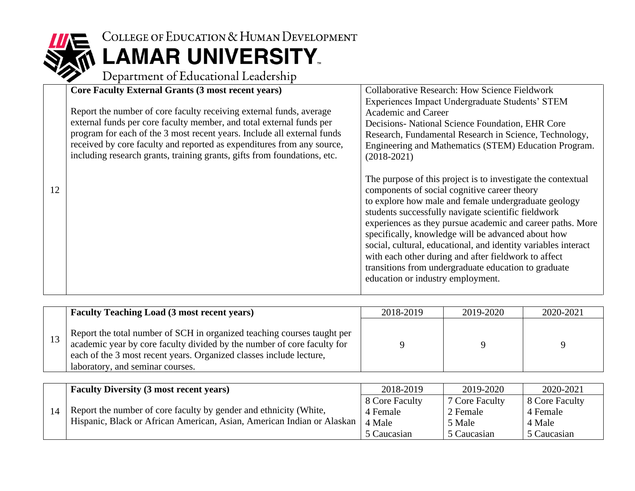

## COLLEGE OF EDUCATION & HUMAN DEVELOPMENT **LAMAR UNIVERSITY**.<br>Department of Educational Leadership

|    | <b>Core Faculty External Grants (3 most recent years)</b>                | <b>Collaborative Research: How Science Fieldwork</b>           |
|----|--------------------------------------------------------------------------|----------------------------------------------------------------|
|    |                                                                          | Experiences Impact Undergraduate Students' STEM                |
|    | Report the number of core faculty receiving external funds, average      | <b>Academic and Career</b>                                     |
|    | external funds per core faculty member, and total external funds per     | Decisions- National Science Foundation, EHR Core               |
|    | program for each of the 3 most recent years. Include all external funds  | Research, Fundamental Research in Science, Technology,         |
|    | received by core faculty and reported as expenditures from any source,   |                                                                |
|    |                                                                          | Engineering and Mathematics (STEM) Education Program.          |
|    | including research grants, training grants, gifts from foundations, etc. | $(2018-2021)$                                                  |
|    |                                                                          |                                                                |
|    |                                                                          | The purpose of this project is to investigate the contextual   |
| 12 |                                                                          | components of social cognitive career theory                   |
|    |                                                                          | to explore how male and female undergraduate geology           |
|    |                                                                          |                                                                |
|    |                                                                          | students successfully navigate scientific fieldwork            |
|    |                                                                          | experiences as they pursue academic and career paths. More     |
|    |                                                                          | specifically, knowledge will be advanced about how             |
|    |                                                                          | social, cultural, educational, and identity variables interact |
|    |                                                                          | with each other during and after fieldwork to affect           |
|    |                                                                          |                                                                |
|    |                                                                          | transitions from undergraduate education to graduate           |
|    |                                                                          | education or industry employment.                              |
|    |                                                                          |                                                                |

| <b>Faculty Teaching Load (3 most recent years)</b>                                                                                                                                                                                                            | 2018-2019 | 2019-2020 | 2020-2021 |
|---------------------------------------------------------------------------------------------------------------------------------------------------------------------------------------------------------------------------------------------------------------|-----------|-----------|-----------|
| Report the total number of SCH in organized teaching courses taught per<br>academic year by core faculty divided by the number of core faculty for<br>each of the 3 most recent years. Organized classes include lecture,<br>laboratory, and seminar courses. |           |           |           |

|  | <b>Faculty Diversity (3 most recent years)</b>                                                                                              | 2018-2019      | 2019-2020      | 2020-2021      |
|--|---------------------------------------------------------------------------------------------------------------------------------------------|----------------|----------------|----------------|
|  | Report the number of core faculty by gender and ethnicity (White,<br>Hispanic, Black or African American, Asian, American Indian or Alaskan | 8 Core Faculty | 7 Core Faculty | 8 Core Faculty |
|  |                                                                                                                                             | 4 Female       | 2 Female       | 4 Female       |
|  |                                                                                                                                             | 4 Male         | 5 Male         | 4 Male         |
|  |                                                                                                                                             | 5 Caucasian    | 5 Caucasian    | 5 Caucasian    |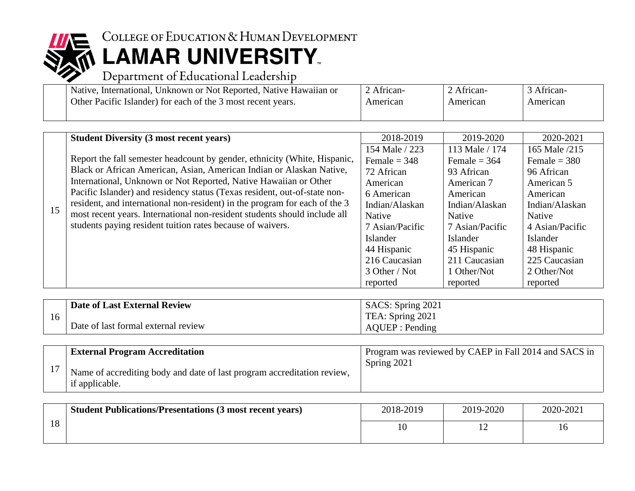

### COLLEGE OF EDUCATION & HUMAN DEVELOPMENT **LAMAR UNIVERSITY.**<br>Department of Educational Leadership

| Native, International, Unknown or Not Reported, Native Hawaiian or | <sup>2</sup> African- | 2 African- | African- |
|--------------------------------------------------------------------|-----------------------|------------|----------|
| Other Pacific Islander) for each of the 3 most recent years.       | American              | American   | American |
|                                                                    |                       |            |          |

|    | <b>Student Diversity (3 most recent years)</b>                                                                                                                                                                                       | 2018-2019       | 2019-2020       | 2020-2021       |
|----|--------------------------------------------------------------------------------------------------------------------------------------------------------------------------------------------------------------------------------------|-----------------|-----------------|-----------------|
|    |                                                                                                                                                                                                                                      | 154 Male / 223  | 113 Male / 174  | 165 Male /215   |
|    | Report the fall semester headcount by gender, ethnicity (White, Hispanic,                                                                                                                                                            | Female $=$ 348  | Female = $364$  | Female = $380$  |
|    | Black or African American, Asian, American Indian or Alaskan Native,                                                                                                                                                                 | 72 African      | 93 African      | 96 African      |
|    | International, Unknown or Not Reported, Native Hawaiian or Other                                                                                                                                                                     | American        | American 7      | American 5      |
| 15 | Pacific Islander) and residency status (Texas resident, out-of-state non-<br>resident, and international non-resident) in the program for each of the 3<br>most recent years. International non-resident students should include all | 6 American      | American        | American        |
|    |                                                                                                                                                                                                                                      | Indian/Alaskan  | Indian/Alaskan  | Indian/Alaskan  |
|    |                                                                                                                                                                                                                                      | <b>Native</b>   | Native          | Native          |
|    | students paying resident tuition rates because of waivers.                                                                                                                                                                           | 7 Asian/Pacific | 7 Asian/Pacific | 4 Asian/Pacific |
|    |                                                                                                                                                                                                                                      | Islander        | Islander        | Islander        |
|    |                                                                                                                                                                                                                                      | 44 Hispanic     | 45 Hispanic     | 48 Hispanic     |
|    |                                                                                                                                                                                                                                      | 216 Caucasian   | 211 Caucasian   | 225 Caucasian   |
|    |                                                                                                                                                                                                                                      | 3 Other / Not   | 1 Other/Not     | 2 Other/Not     |
|    |                                                                                                                                                                                                                                      | reported        | reported        | reported        |

|    | Date of Last External Review        | SACS: Spring 2021 |
|----|-------------------------------------|-------------------|
| 16 |                                     | TEA: Spring 2021  |
|    | Date of last formal external review | AQUEP : Pending   |

| <b>External Program Accreditation</b>                                                     | Program was reviewed by CAEP in Fall 2014 and SACS in |
|-------------------------------------------------------------------------------------------|-------------------------------------------------------|
| Name of accrediting body and date of last program accreditation review,<br>if applicable. | Spring 2021                                           |

|    | <b>Student Publications/Presentations (3 most recent years)</b> | 2018-2019 | 2019-2020 | 2020-2021 |
|----|-----------------------------------------------------------------|-----------|-----------|-----------|
| 18 |                                                                 |           |           |           |